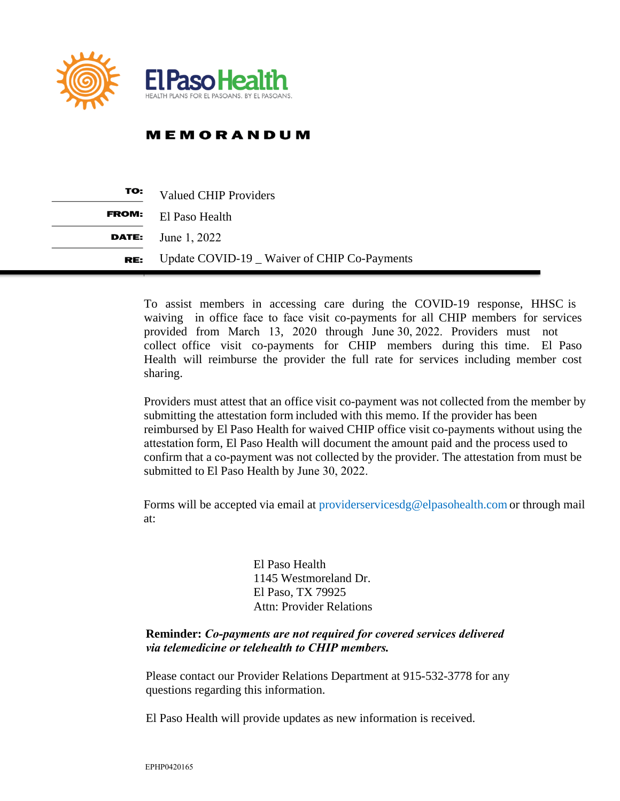

## **MEMORANDUM**

| TO:          | <b>Valued CHIP Providers</b>                 |
|--------------|----------------------------------------------|
| <b>FROM:</b> | El Paso Health                               |
|              | <b>DATE:</b> June 1, 2022                    |
| RE:          | Update COVID-19 _ Waiver of CHIP Co-Payments |

To assist members in accessing care during the COVID-19 response, HHSC is waiving in office face to face visit co-payments for all CHIP members for services provided from March 13, 2020 through June 30, 2022. Providers must not collect office visit co-payments for CHIP members during this time. El Paso Health will reimburse the provider the full rate for services including member cost sharing.

Providers must attest that an office visit co-payment was not collected from the member by submitting the attestation form included with this memo. If the provider has been reimbursed by El Paso Health for waived CHIP office visit co-payments without using the attestation form, El Paso Health will document the amount paid and the process used to confirm that a co-payment was not collected by the provider. The attestation from must be submitted to El Paso Health by June 30, 2022.

Forms will be accepted via email at [providerservicesdg@elpasohealth.com](mailto:providerservicesdg@elpasohealth.com) or through mail at:

> El Paso Health 1145 Westmoreland Dr. El Paso, TX 79925 Attn: Provider Relations

## **Reminder:** *Co-payments are not required for covered services delivered via telemedicine or telehealth to CHIP members.*

Please contact our Provider Relations Department at 915-532-3778 for any questions regarding this information.

El Paso Health will provide updates as new information is received.